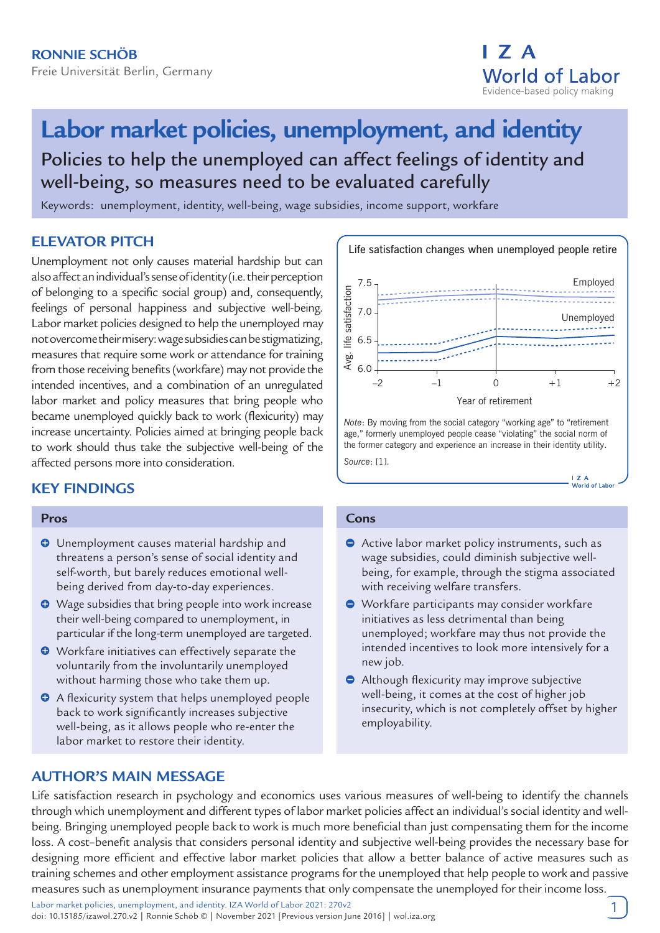

# **Labor market policies, unemployment, and identity**

Policies to help the unemployed can affect feelings of identity and well-being, so measures need to be evaluated carefully

Keywords: unemployment, identity, well-being, wage subsidies, income support, workfare

# **ELEVATOR PITCH**

Unemployment not only causes material hardship but can also affect an individual's sense of identity (i.e. their perception of belonging to a specific social group) and, consequently, feelings of personal happiness and subjective well-being. Labor market policies designed to help the unemployed may not overcome their misery: wage subsidies can be stigmatizing, measures that require some work or attendance for training from those receiving benefits (workfare) may not provide the intended incentives, and a combination of an unregulated labor market and policy measures that bring people who became unemployed quickly back to work (flexicurity) may increase uncertainty. Policies aimed at bringing people back to work should thus take the subjective well-being of the affected persons more into consideration.

# **KEY FINDINGS**

#### **Pros**

- $\Theta$  Unemployment causes material hardship and threatens a person's sense of social identity and self-worth, but barely reduces emotional wellbeing derived from day-to-day experiences.
- Wage subsidies that bring people into work increase their well-being compared to unemployment, in particular if the long-term unemployed are targeted.
- $\bullet$  Workfare initiatives can effectively separate the voluntarily from the involuntarily unemployed without harming those who take them up.
- A flexicurity system that helps unemployed people back to work significantly increases subjective well-being, as it allows people who re-enter the labor market to restore their identity.



*Note*: By moving from the social category "working age" to "retirement age," formerly unemployed people cease "violating" the social norm of the former category and experience an increase in their identity utility. *Source*: [1].

> $1.7A$ World of Labor

#### **Cons**

- Active labor market policy instruments, such as wage subsidies, could diminish subjective wellbeing, for example, through the stigma associated with receiving welfare transfers.
- Workfare participants may consider workfare initiatives as less detrimental than being unemployed; workfare may thus not provide the intended incentives to look more intensively for a new job.
- Although flexicurity may improve subjective well-being, it comes at the cost of higher job insecurity, which is not completely offset by higher employability.

# **AUTHOR'S MAIN MESSAGE**

Life satisfaction research in psychology and economics uses various measures of well-being to identify the channels through which unemployment and different types of labor market policies affect an individual's social identity and wellbeing. Bringing unemployed people back to work is much more beneficial than just compensating them for the income loss. A cost–benefit analysis that considers personal identity and subjective well-being provides the necessary base for designing more efficient and effective labor market policies that allow a better balance of active measures such as training schemes and other employment assistance programs for the unemployed that help people to work and passive measures such as unemployment insurance payments that only compensate the unemployed for their income loss.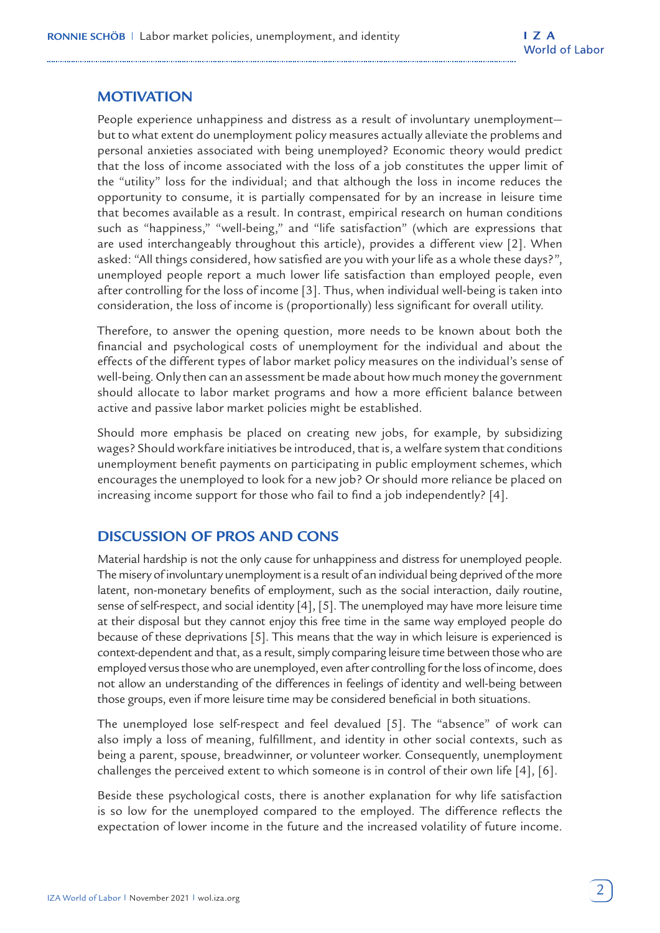# **MOTIVATION**

People experience unhappiness and distress as a result of involuntary unemployment but to what extent do unemployment policy measures actually alleviate the problems and personal anxieties associated with being unemployed? Economic theory would predict that the loss of income associated with the loss of a job constitutes the upper limit of the "utility" loss for the individual; and that although the loss in income reduces the opportunity to consume, it is partially compensated for by an increase in leisure time that becomes available as a result. In contrast, empirical research on human conditions such as "happiness," "well-being," and "life satisfaction" (which are expressions that are used interchangeably throughout this article), provides a different view [2]. When asked: "All things considered, how satisfied are you with your life as a whole these days?", unemployed people report a much lower life satisfaction than employed people, even after controlling for the loss of income [3]. Thus, when individual well-being is taken into consideration, the loss of income is (proportionally) less significant for overall utility.

Therefore, to answer the opening question, more needs to be known about both the financial and psychological costs of unemployment for the individual and about the effects of the different types of labor market policy measures on the individual's sense of well-being. Only then can an assessment be made about how much money the government should allocate to labor market programs and how a more efficient balance between active and passive labor market policies might be established.

Should more emphasis be placed on creating new jobs, for example, by subsidizing wages? Should workfare initiatives be introduced, that is, a welfare system that conditions unemployment benefit payments on participating in public employment schemes, which encourages the unemployed to look for a new job? Or should more reliance be placed on increasing income support for those who fail to find a job independently? [4].

# **DISCUSSION OF PROS AND CONS**

Material hardship is not the only cause for unhappiness and distress for unemployed people. The misery of involuntary unemployment is a result of an individual being deprived of the more latent, non-monetary benefits of employment, such as the social interaction, daily routine, sense of self-respect, and social identity [4], [5]. The unemployed may have more leisure time at their disposal but they cannot enjoy this free time in the same way employed people do because of these deprivations [5]. This means that the way in which leisure is experienced is context-dependent and that, as a result, simply comparing leisure time between those who are employed versus those who are unemployed, even after controlling for the loss of income, does not allow an understanding of the differences in feelings of identity and well-being between those groups, even if more leisure time may be considered beneficial in both situations.

The unemployed lose self-respect and feel devalued [5]. The "absence" of work can also imply a loss of meaning, fulfillment, and identity in other social contexts, such as being a parent, spouse, breadwinner, or volunteer worker. Consequently, unemployment challenges the perceived extent to which someone is in control of their own life [4], [6].

Beside these psychological costs, there is another explanation for why life satisfaction is so low for the unemployed compared to the employed. The difference reflects the expectation of lower income in the future and the increased volatility of future income.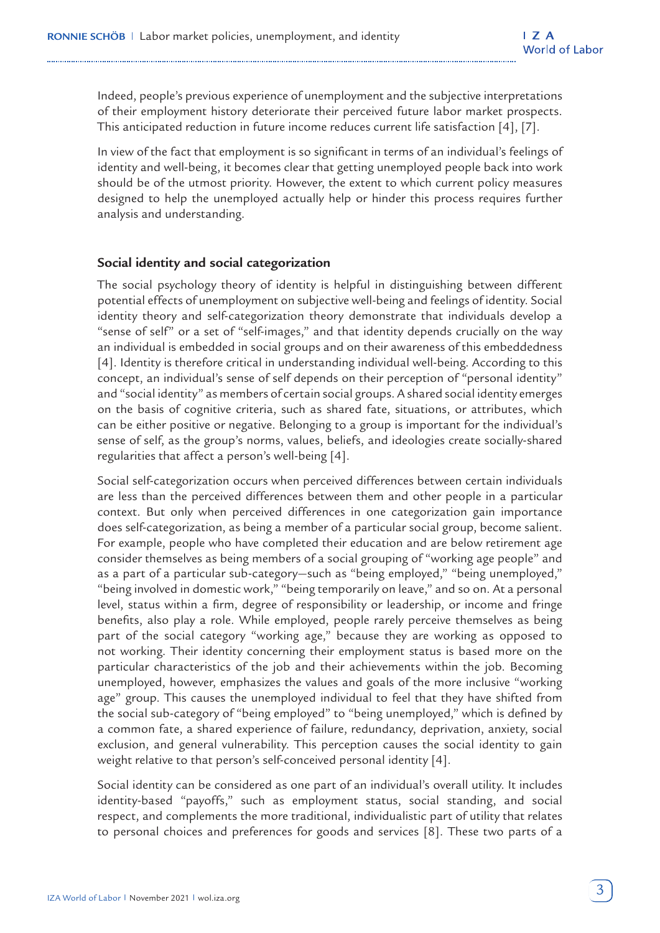Indeed, people's previous experience of unemployment and the subjective interpretations of their employment history deteriorate their perceived future labor market prospects. This anticipated reduction in future income reduces current life satisfaction [4], [7].

In view of the fact that employment is so significant in terms of an individual's feelings of identity and well-being, it becomes clear that getting unemployed people back into work should be of the utmost priority. However, the extent to which current policy measures designed to help the unemployed actually help or hinder this process requires further analysis and understanding.

#### **Social identity and social categorization**

The social psychology theory of identity is helpful in distinguishing between different potential effects of unemployment on subjective well-being and feelings of identity. Social identity theory and self-categorization theory demonstrate that individuals develop a "sense of self" or a set of "self-images," and that identity depends crucially on the way an individual is embedded in social groups and on their awareness of this embeddedness [4]. Identity is therefore critical in understanding individual well-being. According to this concept, an individual's sense of self depends on their perception of "personal identity" and "social identity" as members of certain social groups. A shared social identity emerges on the basis of cognitive criteria, such as shared fate, situations, or attributes, which can be either positive or negative. Belonging to a group is important for the individual's sense of self, as the group's norms, values, beliefs, and ideologies create socially-shared regularities that affect a person's well-being [4].

Social self-categorization occurs when perceived differences between certain individuals are less than the perceived differences between them and other people in a particular context. But only when perceived differences in one categorization gain importance does self-categorization, as being a member of a particular social group, become salient. For example, people who have completed their education and are below retirement age consider themselves as being members of a social grouping of "working age people" and as a part of a particular sub-category—such as "being employed," "being unemployed," "being involved in domestic work," "being temporarily on leave," and so on. At a personal level, status within a firm, degree of responsibility or leadership, or income and fringe benefits, also play a role. While employed, people rarely perceive themselves as being part of the social category "working age," because they are working as opposed to not working. Their identity concerning their employment status is based more on the particular characteristics of the job and their achievements within the job. Becoming unemployed, however, emphasizes the values and goals of the more inclusive "working age" group. This causes the unemployed individual to feel that they have shifted from the social sub-category of "being employed" to "being unemployed," which is defined by a common fate, a shared experience of failure, redundancy, deprivation, anxiety, social exclusion, and general vulnerability. This perception causes the social identity to gain weight relative to that person's self-conceived personal identity [4].

Social identity can be considered as one part of an individual's overall utility. It includes identity-based "payoffs," such as employment status, social standing, and social respect, and complements the more traditional, individualistic part of utility that relates to personal choices and preferences for goods and services [8]. These two parts of a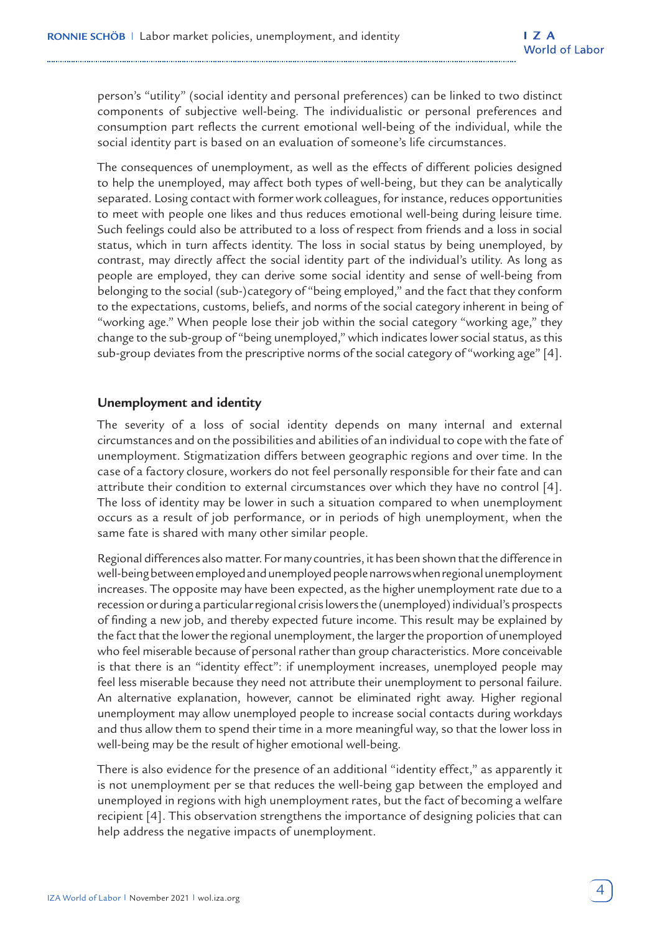person's "utility" (social identity and personal preferences) can be linked to two distinct components of subjective well-being. The individualistic or personal preferences and consumption part reflects the current emotional well-being of the individual, while the social identity part is based on an evaluation of someone's life circumstances.

The consequences of unemployment, as well as the effects of different policies designed to help the unemployed, may affect both types of well-being, but they can be analytically separated. Losing contact with former work colleagues, for instance, reduces opportunities to meet with people one likes and thus reduces emotional well-being during leisure time. Such feelings could also be attributed to a loss of respect from friends and a loss in social status, which in turn affects identity. The loss in social status by being unemployed, by contrast, may directly affect the social identity part of the individual's utility. As long as people are employed, they can derive some social identity and sense of well-being from belonging to the social (sub-)category of "being employed," and the fact that they conform to the expectations, customs, beliefs, and norms of the social category inherent in being of "working age." When people lose their job within the social category "working age," they change to the sub-group of "being unemployed," which indicates lower social status, as this sub-group deviates from the prescriptive norms of the social category of "working age" [4].

#### **Unemployment and identity**

The severity of a loss of social identity depends on many internal and external circumstances and on the possibilities and abilities of an individual to cope with the fate of unemployment. Stigmatization differs between geographic regions and over time. In the case of a factory closure, workers do not feel personally responsible for their fate and can attribute their condition to external circumstances over which they have no control [4]. The loss of identity may be lower in such a situation compared to when unemployment occurs as a result of job performance, or in periods of high unemployment, when the same fate is shared with many other similar people.

Regional differences also matter. For many countries, it has been shown that the difference in well-being between employed and unemployed people narrows when regional unemployment increases. The opposite may have been expected, as the higher unemployment rate due to a recession or during a particular regional crisis lowers the (unemployed) individual's prospects of finding a new job, and thereby expected future income. This result may be explained by the fact that the lower the regional unemployment, the larger the proportion of unemployed who feel miserable because of personal rather than group characteristics. More conceivable is that there is an "identity effect": if unemployment increases, unemployed people may feel less miserable because they need not attribute their unemployment to personal failure. An alternative explanation, however, cannot be eliminated right away. Higher regional unemployment may allow unemployed people to increase social contacts during workdays and thus allow them to spend their time in a more meaningful way, so that the lower loss in well-being may be the result of higher emotional well-being.

There is also evidence for the presence of an additional "identity effect," as apparently it is not unemployment per se that reduces the well-being gap between the employed and unemployed in regions with high unemployment rates, but the fact of becoming a welfare recipient [4]. This observation strengthens the importance of designing policies that can help address the negative impacts of unemployment.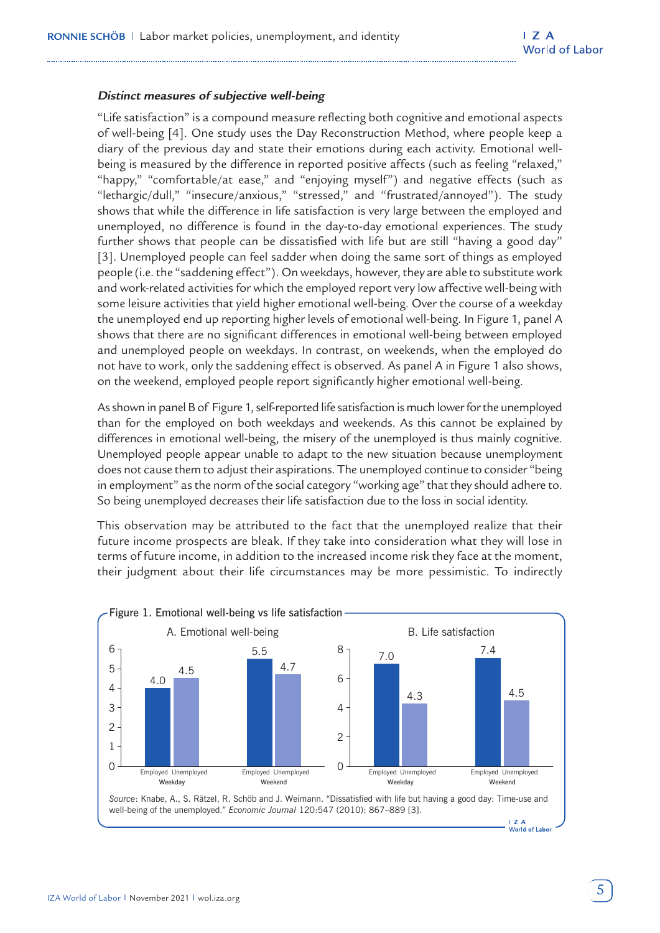#### **Distinct measures of subjective well-being**

"Life satisfaction" is a compound measure reflecting both cognitive and emotional aspects of well-being [4]. One study uses the Day Reconstruction Method, where people keep a diary of the previous day and state their emotions during each activity. Emotional wellbeing is measured by the difference in reported positive affects (such as feeling "relaxed," "happy," "comfortable/at ease," and "enjoying myself") and negative effects (such as "lethargic/dull," "insecure/anxious," "stressed," and "frustrated/annoyed"). The study shows that while the difference in life satisfaction is very large between the employed and unemployed, no difference is found in the day-to-day emotional experiences. The study further shows that people can be dissatisfied with life but are still "having a good day" [3]. Unemployed people can feel sadder when doing the same sort of things as employed people (i.e. the "saddening effect"). On weekdays, however, they are able to substitute work and work-related activities for which the employed report very low affective well-being with some leisure activities that yield higher emotional well-being. Over the course of a weekday the unemployed end up reporting higher levels of emotional well-being. In Figure 1, panel A shows that there are no significant differences in emotional well-being between employed and unemployed people on weekdays. In contrast, on weekends, when the employed do not have to work, only the saddening effect is observed. As panel A in Figure 1 also shows, on the weekend, employed people report significantly higher emotional well-being.

As shown in panel B of Figure 1, self-reported life satisfaction is much lower for the unemployed than for the employed on both weekdays and weekends. As this cannot be explained by differences in emotional well-being, the misery of the unemployed is thus mainly cognitive. Unemployed people appear unable to adapt to the new situation because unemployment does not cause them to adjust their aspirations. The unemployed continue to consider "being in employment" as the norm of the social category "working age" that they should adhere to. So being unemployed decreases their life satisfaction due to the loss in social identity.

This observation may be attributed to the fact that the unemployed realize that their future income prospects are bleak. If they take into consideration what they will lose in terms of future income, in addition to the increased income risk they face at the moment, their judgment about their life circumstances may be more pessimistic. To indirectly

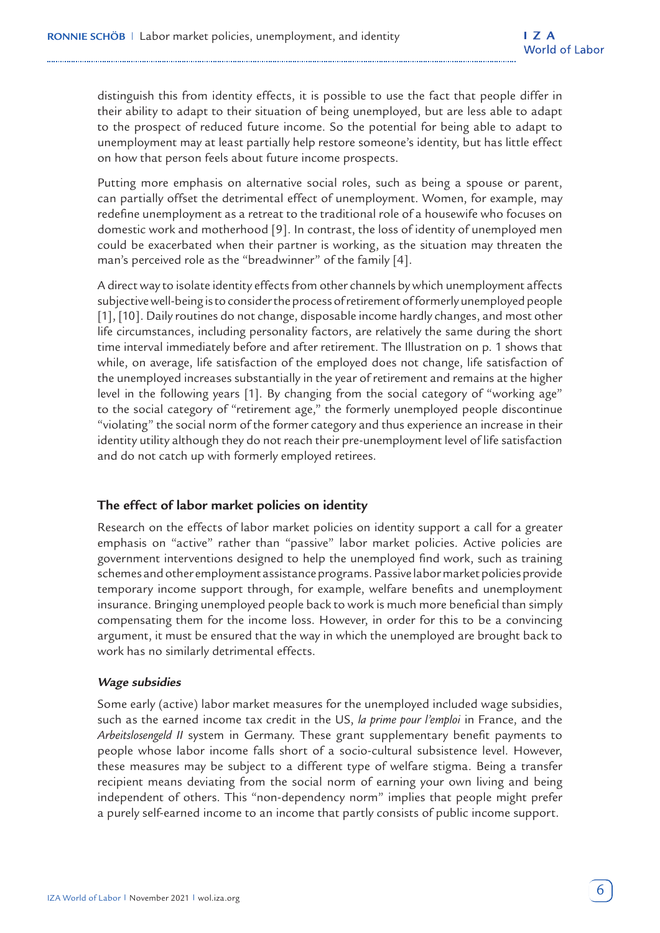distinguish this from identity effects, it is possible to use the fact that people differ in their ability to adapt to their situation of being unemployed, but are less able to adapt to the prospect of reduced future income. So the potential for being able to adapt to unemployment may at least partially help restore someone's identity, but has little effect on how that person feels about future income prospects.

Putting more emphasis on alternative social roles, such as being a spouse or parent, can partially offset the detrimental effect of unemployment. Women, for example, may redefine unemployment as a retreat to the traditional role of a housewife who focuses on domestic work and motherhood [9]. In contrast, the loss of identity of unemployed men could be exacerbated when their partner is working, as the situation may threaten the man's perceived role as the "breadwinner" of the family [4].

A direct way to isolate identity effects from other channels by which unemployment affects subjective well-being is to consider the process of retirement of formerly unemployed people [1], [10]. Daily routines do not change, disposable income hardly changes, and most other life circumstances, including personality factors, are relatively the same during the short time interval immediately before and after retirement. The Illustration on p. 1 shows that while, on average, life satisfaction of the employed does not change, life satisfaction of the unemployed increases substantially in the year of retirement and remains at the higher level in the following years [1]. By changing from the social category of "working age" to the social category of "retirement age," the formerly unemployed people discontinue "violating" the social norm of the former category and thus experience an increase in their identity utility although they do not reach their pre-unemployment level of life satisfaction and do not catch up with formerly employed retirees.

#### **The effect of labor market policies on identity**

Research on the effects of labor market policies on identity support a call for a greater emphasis on "active" rather than "passive" labor market policies. Active policies are government interventions designed to help the unemployed find work, such as training schemes and other employment assistance programs. Passive labor market policies provide temporary income support through, for example, welfare benefits and unemployment insurance. Bringing unemployed people back to work is much more beneficial than simply compensating them for the income loss. However, in order for this to be a convincing argument, it must be ensured that the way in which the unemployed are brought back to work has no similarly detrimental effects.

#### **Wage subsidies**

Some early (active) labor market measures for the unemployed included wage subsidies, such as the earned income tax credit in the US, *la prime pour l'emploi* in France, and the *Arbeitslosengeld II* system in Germany. These grant supplementary benefit payments to people whose labor income falls short of a socio-cultural subsistence level. However, these measures may be subject to a different type of welfare stigma. Being a transfer recipient means deviating from the social norm of earning your own living and being independent of others. This "non-dependency norm" implies that people might prefer a purely self-earned income to an income that partly consists of public income support.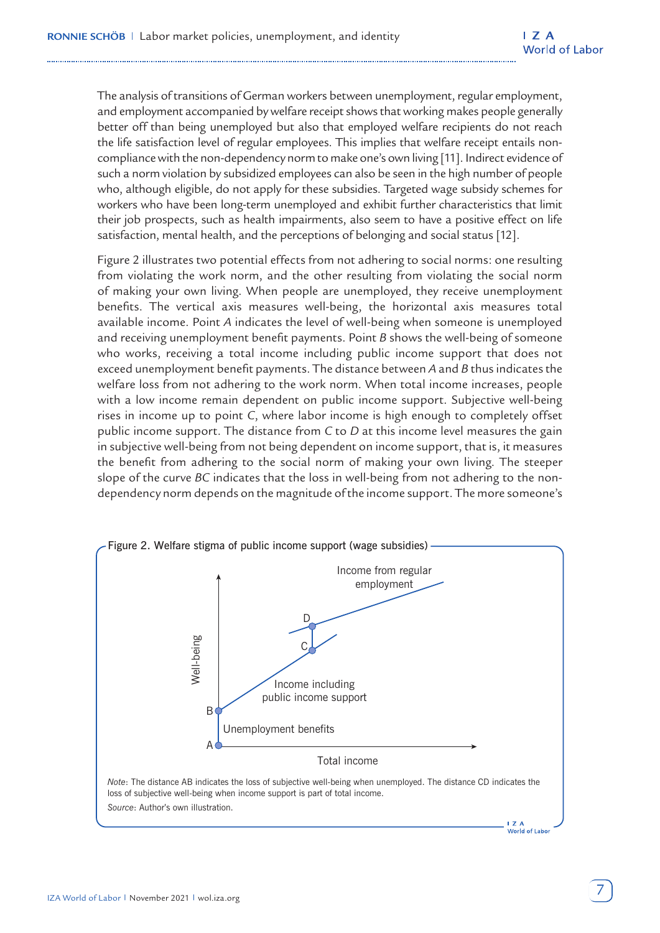The analysis of transitions of German workers between unemployment, regular employment, and employment accompanied by welfare receipt shows that working makes people generally better off than being unemployed but also that employed welfare recipients do not reach the life satisfaction level of regular employees. This implies that welfare receipt entails noncompliance with the non-dependency norm to make one's own living [11]. Indirect evidence of such a norm violation by subsidized employees can also be seen in the high number of people who, although eligible, do not apply for these subsidies. Targeted wage subsidy schemes for workers who have been long-term unemployed and exhibit further characteristics that limit their job prospects, such as health impairments, also seem to have a positive effect on life satisfaction, mental health, and the perceptions of belonging and social status [12].

Figure 2 illustrates two potential effects from not adhering to social norms: one resulting from violating the work norm, and the other resulting from violating the social norm of making your own living. When people are unemployed, they receive unemployment benefits. The vertical axis measures well-being, the horizontal axis measures total available income. Point *A* indicates the level of well-being when someone is unemployed and receiving unemployment benefit payments. Point *B* shows the well-being of someone who works, receiving a total income including public income support that does not exceed unemployment benefit payments. The distance between *A* and *B* thus indicates the welfare loss from not adhering to the work norm. When total income increases, people with a low income remain dependent on public income support. Subjective well-being rises in income up to point *C*, where labor income is high enough to completely offset public income support. The distance from *C* to *D* at this income level measures the gain in subjective well-being from not being dependent on income support, that is, it measures the benefit from adhering to the social norm of making your own living. The steeper slope of the curve *BC* indicates that the loss in well-being from not adhering to the nondependency norm depends on the magnitude of the income support. The more someone's

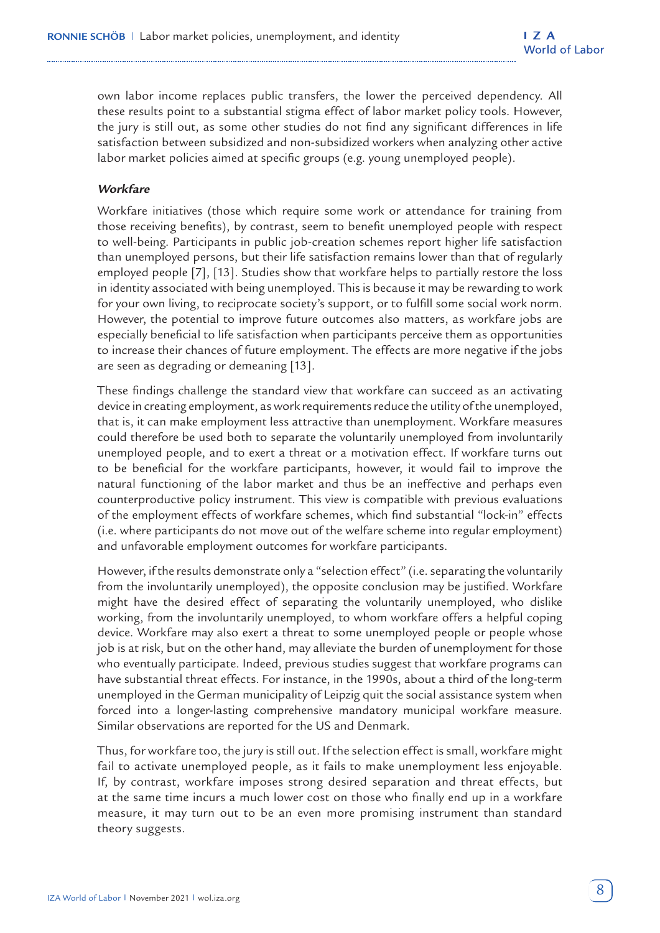own labor income replaces public transfers, the lower the perceived dependency. All these results point to a substantial stigma effect of labor market policy tools. However, the jury is still out, as some other studies do not find any significant differences in life satisfaction between subsidized and non-subsidized workers when analyzing other active labor market policies aimed at specific groups (e.g. young unemployed people).

## **Workfare**

Workfare initiatives (those which require some work or attendance for training from those receiving benefits), by contrast, seem to benefit unemployed people with respect to well-being. Participants in public job-creation schemes report higher life satisfaction than unemployed persons, but their life satisfaction remains lower than that of regularly employed people [7], [13]. Studies show that workfare helps to partially restore the loss in identity associated with being unemployed. This is because it may be rewarding to work for your own living, to reciprocate society's support, or to fulfill some social work norm. However, the potential to improve future outcomes also matters, as workfare jobs are especially beneficial to life satisfaction when participants perceive them as opportunities to increase their chances of future employment. The effects are more negative if the jobs are seen as degrading or demeaning [13].

These findings challenge the standard view that workfare can succeed as an activating device in creating employment, as work requirements reduce the utility of the unemployed, that is, it can make employment less attractive than unemployment. Workfare measures could therefore be used both to separate the voluntarily unemployed from involuntarily unemployed people, and to exert a threat or a motivation effect. If workfare turns out to be beneficial for the workfare participants, however, it would fail to improve the natural functioning of the labor market and thus be an ineffective and perhaps even counterproductive policy instrument. This view is compatible with previous evaluations of the employment effects of workfare schemes, which find substantial "lock-in" effects (i.e. where participants do not move out of the welfare scheme into regular employment) and unfavorable employment outcomes for workfare participants.

However, if the results demonstrate only a "selection effect" (i.e. separating the voluntarily from the involuntarily unemployed), the opposite conclusion may be justified. Workfare might have the desired effect of separating the voluntarily unemployed, who dislike working, from the involuntarily unemployed, to whom workfare offers a helpful coping device. Workfare may also exert a threat to some unemployed people or people whose job is at risk, but on the other hand, may alleviate the burden of unemployment for those who eventually participate. Indeed, previous studies suggest that workfare programs can have substantial threat effects. For instance, in the 1990s, about a third of the long-term unemployed in the German municipality of Leipzig quit the social assistance system when forced into a longer-lasting comprehensive mandatory municipal workfare measure. Similar observations are reported for the US and Denmark.

Thus, for workfare too, the jury is still out. If the selection effect is small, workfare might fail to activate unemployed people, as it fails to make unemployment less enjoyable. If, by contrast, workfare imposes strong desired separation and threat effects, but at the same time incurs a much lower cost on those who finally end up in a workfare measure, it may turn out to be an even more promising instrument than standard theory suggests.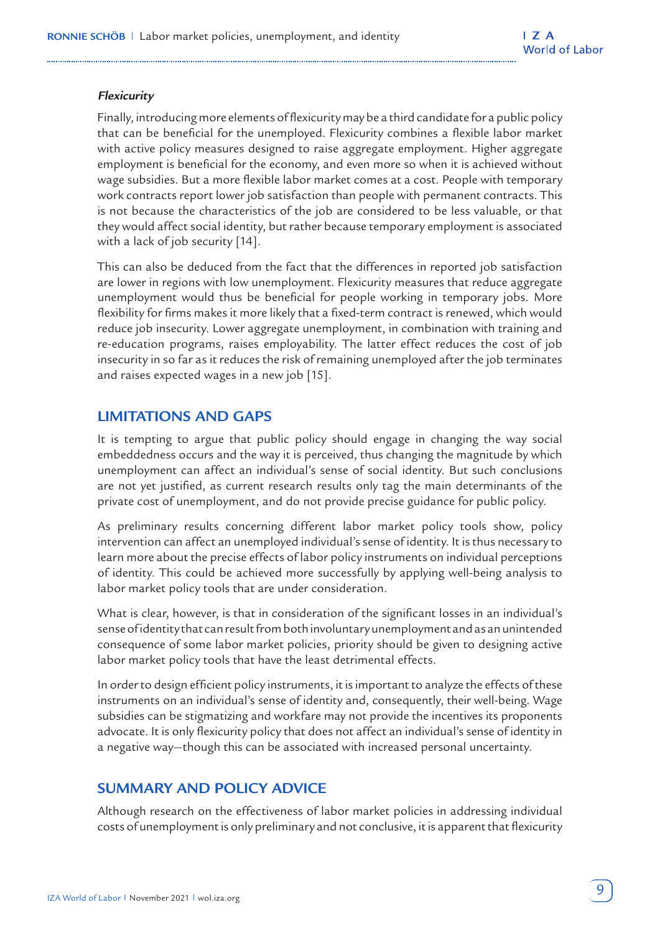## **Flexicurity**

Finally, introducing more elements of flexicurity may be a third candidate for a public policy that can be beneficial for the unemployed. Flexicurity combines a flexible labor market with active policy measures designed to raise aggregate employment. Higher aggregate employment is beneficial for the economy, and even more so when it is achieved without wage subsidies. But a more flexible labor market comes at a cost. People with temporary work contracts report lower job satisfaction than people with permanent contracts. This is not because the characteristics of the job are considered to be less valuable, or that they would affect social identity, but rather because temporary employment is associated with a lack of job security [14].

This can also be deduced from the fact that the differences in reported job satisfaction are lower in regions with low unemployment. Flexicurity measures that reduce aggregate unemployment would thus be beneficial for people working in temporary jobs. More flexibility for firms makes it more likely that a fixed-term contract is renewed, which would reduce job insecurity. Lower aggregate unemployment, in combination with training and re-education programs, raises employability. The latter effect reduces the cost of job insecurity in so far as it reduces the risk of remaining unemployed after the job terminates and raises expected wages in a new job [15].

## **LIMITATIONS AND GAPS**

It is tempting to argue that public policy should engage in changing the way social embeddedness occurs and the way it is perceived, thus changing the magnitude by which unemployment can affect an individual's sense of social identity. But such conclusions are not yet justified, as current research results only tag the main determinants of the private cost of unemployment, and do not provide precise guidance for public policy.

As preliminary results concerning different labor market policy tools show, policy intervention can affect an unemployed individual's sense of identity. It is thus necessary to learn more about the precise effects of labor policy instruments on individual perceptions of identity. This could be achieved more successfully by applying well-being analysis to labor market policy tools that are under consideration.

What is clear, however, is that in consideration of the significant losses in an individual's sense of identity that can result from both involuntary unemployment and as an unintended consequence of some labor market policies, priority should be given to designing active labor market policy tools that have the least detrimental effects.

In order to design efficient policy instruments, it is important to analyze the effects of these instruments on an individual's sense of identity and, consequently, their well-being. Wage subsidies can be stigmatizing and workfare may not provide the incentives its proponents advocate. It is only flexicurity policy that does not affect an individual's sense of identity in a negative way—though this can be associated with increased personal uncertainty.

# **SUMMARY AND POLICY ADVICE**

Although research on the effectiveness of labor market policies in addressing individual costs of unemployment is only preliminary and not conclusive, it is apparent that flexicurity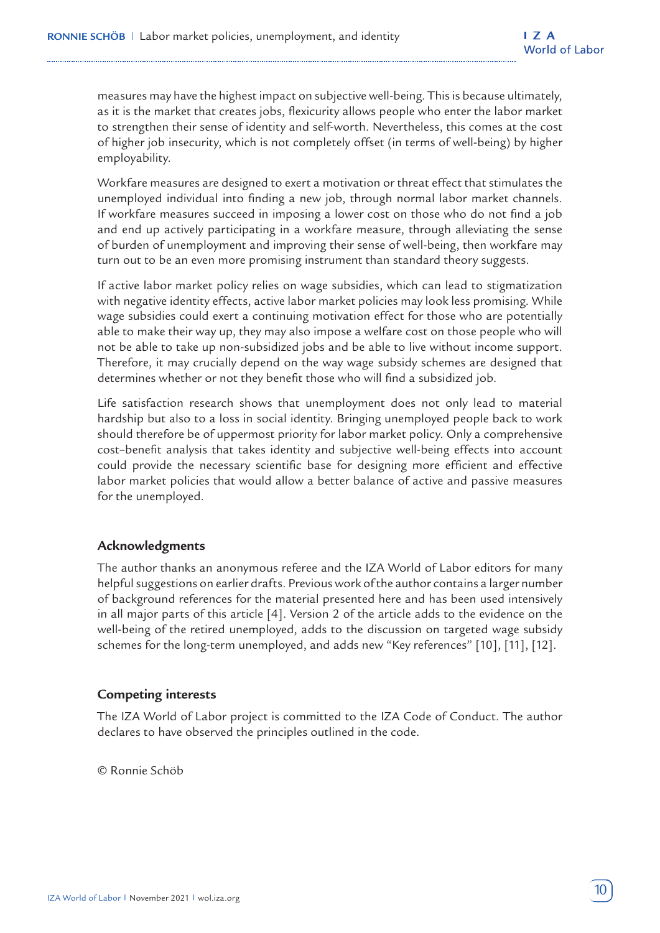measures may have the highest impact on subjective well-being. This is because ultimately, as it is the market that creates jobs, flexicurity allows people who enter the labor market to strengthen their sense of identity and self-worth. Nevertheless, this comes at the cost of higher job insecurity, which is not completely offset (in terms of well-being) by higher employability.

Workfare measures are designed to exert a motivation or threat effect that stimulates the unemployed individual into finding a new job, through normal labor market channels. If workfare measures succeed in imposing a lower cost on those who do not find a job and end up actively participating in a workfare measure, through alleviating the sense of burden of unemployment and improving their sense of well-being, then workfare may turn out to be an even more promising instrument than standard theory suggests.

If active labor market policy relies on wage subsidies, which can lead to stigmatization with negative identity effects, active labor market policies may look less promising. While wage subsidies could exert a continuing motivation effect for those who are potentially able to make their way up, they may also impose a welfare cost on those people who will not be able to take up non-subsidized jobs and be able to live without income support. Therefore, it may crucially depend on the way wage subsidy schemes are designed that determines whether or not they benefit those who will find a subsidized job.

Life satisfaction research shows that unemployment does not only lead to material hardship but also to a loss in social identity. Bringing unemployed people back to work should therefore be of uppermost priority for labor market policy. Only a comprehensive cost–benefit analysis that takes identity and subjective well-being effects into account could provide the necessary scientific base for designing more efficient and effective labor market policies that would allow a better balance of active and passive measures for the unemployed.

#### **Acknowledgments**

The author thanks an anonymous referee and the IZA World of Labor editors for many helpful suggestions on earlier drafts. Previous work of the author contains a larger number of background references for the material presented here and has been used intensively in all major parts of this article [4]. Version 2 of the article adds to the evidence on the well-being of the retired unemployed, adds to the discussion on targeted wage subsidy schemes for the long-term unemployed, and adds new "Key references" [10], [11], [12].

#### **Competing interests**

The IZA World of Labor project is committed to the IZA Code of Conduct. The author declares to have observed the principles outlined in the code.

© Ronnie Schöb